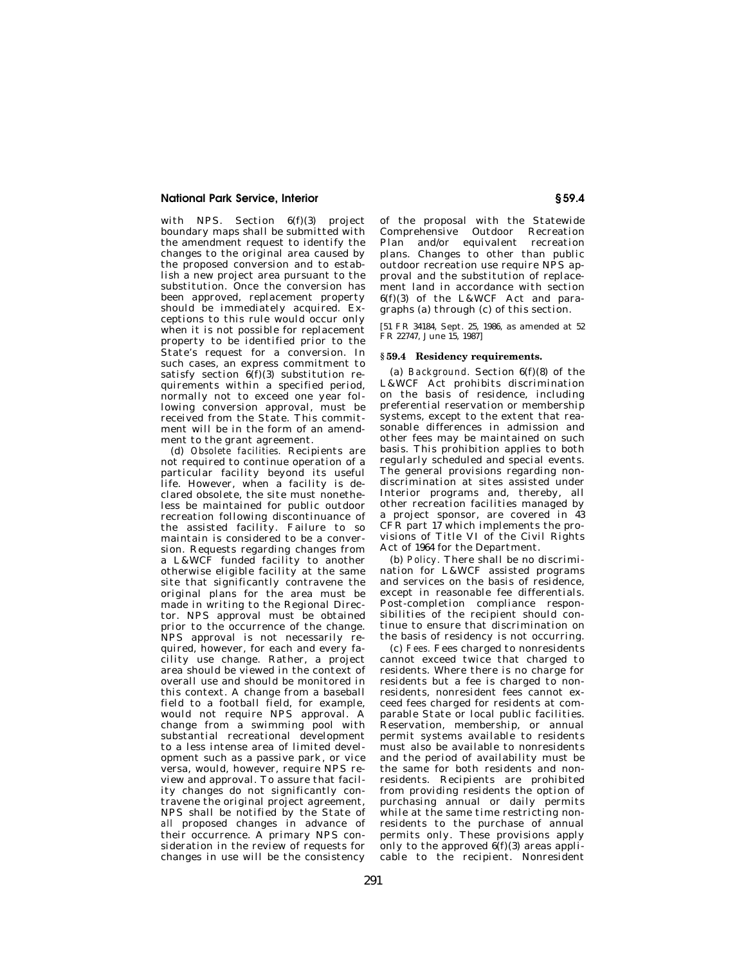## **National Park Service, Interior § 59.4**

with NPS. Section  $6(f)(3)$  project boundary maps shall be submitted with the amendment request to identify the changes to the original area caused by the proposed conversion and to establish a new project area pursuant to the substitution. Once the conversion has been approved, replacement property should be immediately acquired. Exceptions to this rule would occur only when it is not possible for replacement property to be identified prior to the State's request for a conversion. In such cases, an express commitment to satisfy section  $6(f)(3)$  substitution requirements within a specified period, normally not to exceed one year following conversion approval, must be received from the State. This commitment will be in the form of an amendment to the grant agreement.

(d) *Obsolete facilities.* Recipients are not required to continue operation of a particular facility beyond its useful life. However, when a facility is declared obsolete, the site must nonetheless be maintained for public outdoor recreation following discontinuance of the assisted facility. Failure to so maintain is considered to be a conversion. Requests regarding changes from a L&WCF funded facility to another otherwise eligible facility at the same site that significantly contravene the original plans for the area must be made in writing to the Regional Director. NPS approval must be obtained prior to the occurrence of the change. NPS approval is not necessarily required, however, for each and every facility use change. Rather, a project area should be viewed in the context of overall use and should be monitored in this context. A change from a baseball field to a football field, for example, would not require NPS approval. A change from a swimming pool with substantial recreational development to a less intense area of limited development such as a passive park, or vice versa, would, however, require NPS review and approval. To assure that facility changes do not significantly contravene the original project agreement, NPS shall be notified by the State of *all* proposed changes in advance of their occurrence. A primary NPS consideration in the review of requests for changes in use will be the consistency

of the proposal with the Statewide Comprehensive Outdoor Recreation Plan and/or equivalent recreation plans. Changes to other than public outdoor recreation use require NPS approval and the substitution of replacement land in accordance with section 6(f)(3) of the L&WCF Act and paragraphs (a) through (c) of this section.

[51 FR 34184, Sept. 25, 1986, as amended at 52 FR 22747, June 15, 1987]

## **§ 59.4 Residency requirements.**

(a) *Background.* Section 6(f)(8) of the L&WCF Act prohibits discrimination on the basis of residence, including preferential reservation or membership systems, except to the extent that reasonable differences in admission and other fees may be maintained on such basis. This prohibition applies to both regularly scheduled and special events. The general provisions regarding nondiscrimination at sites assisted under Interior programs and, thereby, all other recreation facilities managed by a project sponsor, are covered in 43 CFR part 17 which implements the provisions of Title VI of the Civil Rights Act of 1964 for the Department.

(b) *Policy.* There shall be no discrimination for L&WCF assisted programs and services on the basis of residence, except in reasonable fee differentials. Post-completion compliance responsibilities of the recipient should continue to ensure that discrimination on the basis of residency is not occurring.

(c) *Fees.* Fees charged to nonresidents cannot exceed twice that charged to residents. Where there is no charge for residents but a fee is charged to nonresidents, nonresident fees cannot exceed fees charged for residents at comparable State or local public facilities. Reservation, membership, or annual permit systems available to residents must also be available to nonresidents and the period of availability must be the same for both residents and nonresidents. Recipients are prohibited from providing residents the option of purchasing annual or daily permits while at the same time restricting nonresidents to the purchase of annual permits only. These provisions apply only to the approved  $6(f)(3)$  areas applicable to the recipient. Nonresident